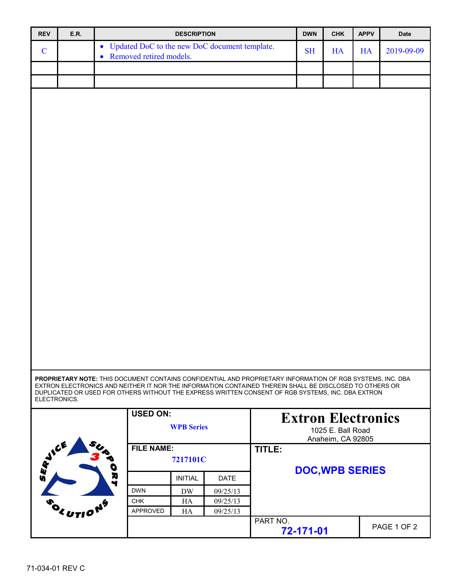| <b>REV</b>                                                | E.R.                                 |                                                                                                                                                                                                                       | <b>DESCRIPTION</b> |                      |                                        | <b>DWN</b>                | CHK | <b>APPV</b> | Date        |  |
|-----------------------------------------------------------|--------------------------------------|-----------------------------------------------------------------------------------------------------------------------------------------------------------------------------------------------------------------------|--------------------|----------------------|----------------------------------------|---------------------------|-----|-------------|-------------|--|
| $\mathbf C$                                               |                                      | • Updated DoC to the new DoC document template.                                                                                                                                                                       |                    |                      |                                        | <b>SH</b>                 | HA  | HA          | 2019-09-09  |  |
|                                                           |                                      | • Removed retired models.                                                                                                                                                                                             |                    |                      |                                        |                           |     |             |             |  |
|                                                           |                                      |                                                                                                                                                                                                                       |                    |                      |                                        |                           |     |             |             |  |
|                                                           |                                      |                                                                                                                                                                                                                       |                    |                      |                                        |                           |     |             |             |  |
|                                                           |                                      |                                                                                                                                                                                                                       |                    |                      |                                        |                           |     |             |             |  |
|                                                           |                                      |                                                                                                                                                                                                                       |                    |                      |                                        |                           |     |             |             |  |
|                                                           |                                      |                                                                                                                                                                                                                       |                    |                      |                                        |                           |     |             |             |  |
|                                                           |                                      |                                                                                                                                                                                                                       |                    |                      |                                        |                           |     |             |             |  |
|                                                           |                                      |                                                                                                                                                                                                                       |                    |                      |                                        |                           |     |             |             |  |
|                                                           |                                      |                                                                                                                                                                                                                       |                    |                      |                                        |                           |     |             |             |  |
|                                                           |                                      |                                                                                                                                                                                                                       |                    |                      |                                        |                           |     |             |             |  |
|                                                           |                                      |                                                                                                                                                                                                                       |                    |                      |                                        |                           |     |             |             |  |
|                                                           |                                      |                                                                                                                                                                                                                       |                    |                      |                                        |                           |     |             |             |  |
|                                                           |                                      |                                                                                                                                                                                                                       |                    |                      |                                        |                           |     |             |             |  |
|                                                           |                                      |                                                                                                                                                                                                                       |                    |                      |                                        |                           |     |             |             |  |
|                                                           |                                      |                                                                                                                                                                                                                       |                    |                      |                                        |                           |     |             |             |  |
|                                                           |                                      |                                                                                                                                                                                                                       |                    |                      |                                        |                           |     |             |             |  |
|                                                           |                                      |                                                                                                                                                                                                                       |                    |                      |                                        |                           |     |             |             |  |
|                                                           |                                      |                                                                                                                                                                                                                       |                    |                      |                                        |                           |     |             |             |  |
|                                                           |                                      |                                                                                                                                                                                                                       |                    |                      |                                        |                           |     |             |             |  |
|                                                           |                                      |                                                                                                                                                                                                                       |                    |                      |                                        |                           |     |             |             |  |
|                                                           |                                      |                                                                                                                                                                                                                       |                    |                      |                                        |                           |     |             |             |  |
|                                                           |                                      |                                                                                                                                                                                                                       |                    |                      |                                        |                           |     |             |             |  |
|                                                           |                                      |                                                                                                                                                                                                                       |                    |                      |                                        |                           |     |             |             |  |
|                                                           |                                      |                                                                                                                                                                                                                       |                    |                      |                                        |                           |     |             |             |  |
|                                                           |                                      |                                                                                                                                                                                                                       |                    |                      |                                        |                           |     |             |             |  |
|                                                           |                                      |                                                                                                                                                                                                                       |                    |                      |                                        |                           |     |             |             |  |
|                                                           |                                      | PROPRIETARY NOTE: THIS DOCUMENT CONTAINS CONFIDENTIAL AND PROPRIETARY INFORMATION OF RGB SYSTEMS, INC. DBA<br>EXTRON ELECTRONICS AND NEITHER IT NOR THE INFORMATION CONTAINED THEREIN SHALL BE DISCLOSED TO OTHERS OR |                    |                      |                                        |                           |     |             |             |  |
|                                                           | ELECTRONICS.                         | DUPLICATED OR USED FOR OTHERS WITHOUT THE EXPRESS WRITTEN CONSENT OF RGB SYSTEMS, INC. DBA EXTRON                                                                                                                     |                    |                      |                                        |                           |     |             |             |  |
|                                                           |                                      | <b>USED ON:</b>                                                                                                                                                                                                       |                    |                      |                                        |                           |     |             |             |  |
|                                                           |                                      |                                                                                                                                                                                                                       |                    |                      |                                        | <b>Extron Electronics</b> |     |             |             |  |
|                                                           | <b>WPB</b> Series                    |                                                                                                                                                                                                                       |                    |                      | 1025 E. Ball Road<br>Anaheim, CA 92805 |                           |     |             |             |  |
| <b>SERVICE</b><br><b>FILE NAME:</b><br>7217101C<br>o<br>R |                                      |                                                                                                                                                                                                                       |                    |                      | TITLE:                                 |                           |     |             |             |  |
|                                                           |                                      |                                                                                                                                                                                                                       |                    |                      |                                        |                           |     |             |             |  |
|                                                           |                                      | <b>DOC, WPB SERIES</b>                                                                                                                                                                                                |                    |                      |                                        |                           |     |             |             |  |
|                                                           |                                      | ₩                                                                                                                                                                                                                     | <b>INITIAL</b>     | <b>DATE</b>          |                                        |                           |     |             |             |  |
|                                                           |                                      | <b>DWN</b>                                                                                                                                                                                                            | <b>DW</b>          | 09/25/13             |                                        |                           |     |             |             |  |
|                                                           | <sup>2</sup> <utio<sup>NS</utio<sup> | <b>CHK</b><br>APPROVED                                                                                                                                                                                                | HA<br>HA           | 09/25/13<br>09/25/13 |                                        |                           |     |             |             |  |
|                                                           |                                      |                                                                                                                                                                                                                       |                    |                      | PART NO.                               |                           |     |             |             |  |
|                                                           |                                      |                                                                                                                                                                                                                       |                    |                      |                                        | 72-171-01                 |     |             | PAGE 1 OF 2 |  |